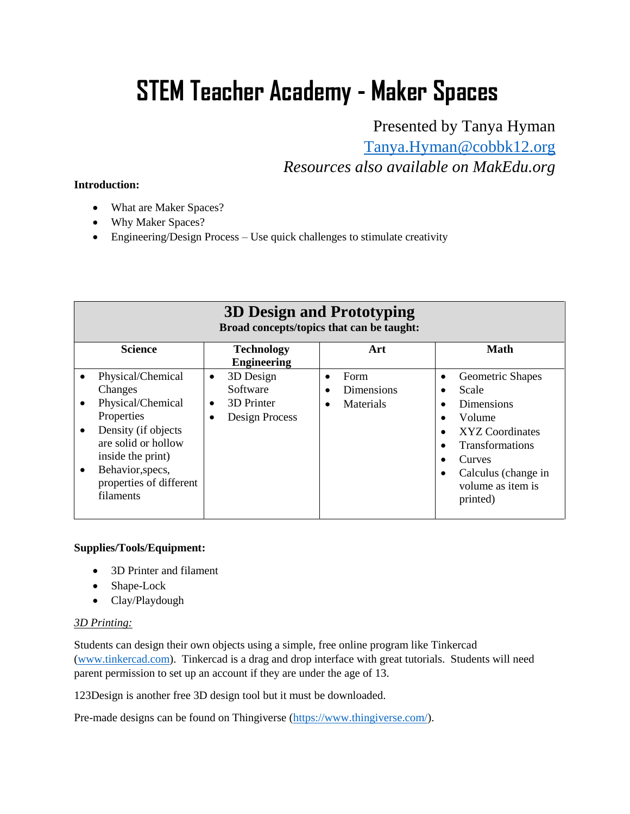# **STEM Teacher Academy - Maker Spaces**

Presented by Tanya Hyman

[Tanya.Hyman@cobbk12.org](mailto:Tanya.Hyman@cobbk12.org)

*Resources also available on MakEdu.org* 

#### **Introduction:**

- What are Maker Spaces?
- Why Maker Spaces?
- Engineering/Design Process Use quick challenges to stimulate creativity

| 3D Design and Prototyping<br>Broad concepts/topics that can be taught:                                                                                                                                                   |                                                                    |                                              |                                                                                                                                                                                                                             |  |
|--------------------------------------------------------------------------------------------------------------------------------------------------------------------------------------------------------------------------|--------------------------------------------------------------------|----------------------------------------------|-----------------------------------------------------------------------------------------------------------------------------------------------------------------------------------------------------------------------------|--|
| <b>Science</b>                                                                                                                                                                                                           | <b>Technology</b><br><b>Engineering</b>                            | Art                                          | <b>Math</b>                                                                                                                                                                                                                 |  |
| Physical/Chemical<br>$\bullet$<br>Changes<br>Physical/Chemical<br>Properties<br>Density (if objects<br>$\bullet$<br>are solid or hollow<br>inside the print)<br>Behavior, specs,<br>properties of different<br>filaments | 3D Design<br>$\bullet$<br>Software<br>3D Printer<br>Design Process | Form<br>$\bullet$<br>Dimensions<br>Materials | Geometric Shapes<br>$\bullet$<br>Scale<br><b>Dimensions</b><br>Volume<br>XYZ Coordinates<br>$\bullet$<br><b>Transformations</b><br>$\bullet$<br>Curves<br>Calculus (change in<br>$\bullet$<br>volume as item is<br>printed) |  |

# **Supplies/Tools/Equipment:**

- 3D Printer and filament
- Shape-Lock
- Clay/Playdough

# *3D Printing:*

Students can design their own objects using a simple, free online program like Tinkercad [\(www.tinkercad.com\)](http://www.tinkercad.com/). Tinkercad is a drag and drop interface with great tutorials. Students will need parent permission to set up an account if they are under the age of 13.

123Design is another free 3D design tool but it must be downloaded.

Pre-made designs can be found on Thingiverse [\(https://www.thingiverse.com/\)](https://www.thingiverse.com/).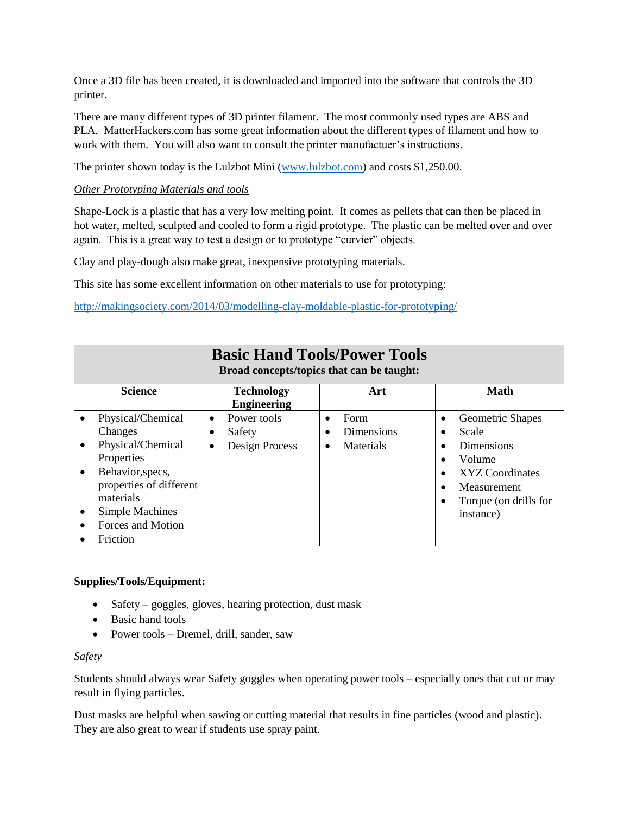Once a 3D file has been created, it is downloaded and imported into the software that controls the 3D printer.

There are many different types of 3D printer filament. The most commonly used types are ABS and PLA. MatterHackers.com has some great information about the different types of filament and how to work with them. You will also want to consult the printer manufactuer's instructions.

The printer shown today is the Lulzbot Mini [\(www.lulzbot.com\)](http://www.lulzbot.com/) and costs \$1,250.00.

# *Other Prototyping Materials and tools*

Shape-Lock is a plastic that has a very low melting point. It comes as pellets that can then be placed in hot water, melted, sculpted and cooled to form a rigid prototype. The plastic can be melted over and over again. This is a great way to test a design or to prototype "curvier" objects.

Clay and play-dough also make great, inexpensive prototyping materials.

This site has some excellent information on other materials to use for prototyping:

<http://makingsociety.com/2014/03/modelling-clay-moldable-plastic-for-prototyping/>

| <b>Basic Hand Tools/Power Tools</b><br>Broad concepts/topics that can be taught:                                                                                                                                            |                                                                   |                                                   |                                                                                                                                                                                      |  |
|-----------------------------------------------------------------------------------------------------------------------------------------------------------------------------------------------------------------------------|-------------------------------------------------------------------|---------------------------------------------------|--------------------------------------------------------------------------------------------------------------------------------------------------------------------------------------|--|
| <b>Science</b>                                                                                                                                                                                                              | <b>Technology</b><br><b>Engineering</b>                           | Art                                               | <b>Math</b>                                                                                                                                                                          |  |
| Physical/Chemical<br>$\bullet$<br>Changes<br>Physical/Chemical<br>$\bullet$<br>Properties<br>Behavior, specs,<br>$\bullet$<br>properties of different<br>materials<br>Simple Machines<br>٠<br>Forces and Motion<br>Friction | Power tools<br>$\bullet$<br>Safety<br>Design Process<br>$\bullet$ | Form<br>$\bullet$<br>Dimensions<br>Materials<br>٠ | Geometric Shapes<br>$\bullet$<br>Scale<br><b>Dimensions</b><br>Volume<br>$\bullet$<br>XYZ Coordinates<br>$\bullet$<br>Measurement<br>$\bullet$<br>Torque (on drills for<br>instance) |  |

#### **Supplies/Tools/Equipment:**

- Safety goggles, gloves, hearing protection, dust mask
- Basic hand tools
- Power tools Dremel, drill, sander, saw

#### *Safety*

Students should always wear Safety goggles when operating power tools – especially ones that cut or may result in flying particles.

Dust masks are helpful when sawing or cutting material that results in fine particles (wood and plastic). They are also great to wear if students use spray paint.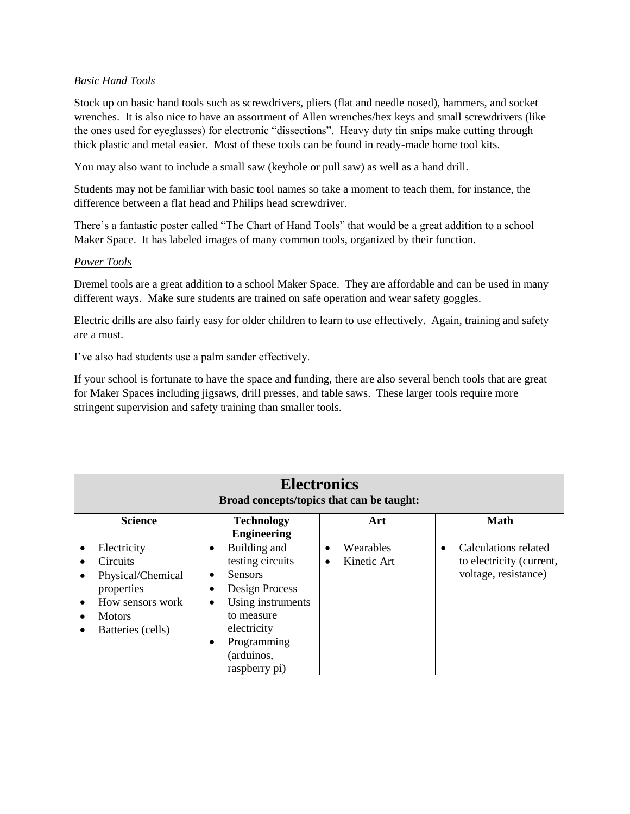#### *Basic Hand Tools*

Stock up on basic hand tools such as screwdrivers, pliers (flat and needle nosed), hammers, and socket wrenches. It is also nice to have an assortment of Allen wrenches/hex keys and small screwdrivers (like the ones used for eyeglasses) for electronic "dissections". Heavy duty tin snips make cutting through thick plastic and metal easier. Most of these tools can be found in ready-made home tool kits.

You may also want to include a small saw (keyhole or pull saw) as well as a hand drill.

Students may not be familiar with basic tool names so take a moment to teach them, for instance, the difference between a flat head and Philips head screwdriver.

There's a fantastic poster called "The Chart of Hand Tools" that would be a great addition to a school Maker Space. It has labeled images of many common tools, organized by their function.

#### *Power Tools*

Dremel tools are a great addition to a school Maker Space. They are affordable and can be used in many different ways. Make sure students are trained on safe operation and wear safety goggles.

Electric drills are also fairly easy for older children to learn to use effectively. Again, training and safety are a must.

I've also had students use a palm sander effectively.

If your school is fortunate to have the space and funding, there are also several bench tools that are great for Maker Spaces including jigsaws, drill presses, and table saws. These larger tools require more stringent supervision and safety training than smaller tools.

| <b>Electronics</b><br>Broad concepts/topics that can be taught: |                                                                                                                             |                                                                                                                                                                                             |                        |                          |           |                                                                          |
|-----------------------------------------------------------------|-----------------------------------------------------------------------------------------------------------------------------|---------------------------------------------------------------------------------------------------------------------------------------------------------------------------------------------|------------------------|--------------------------|-----------|--------------------------------------------------------------------------|
|                                                                 | <b>Science</b>                                                                                                              | <b>Technology</b><br><b>Engineering</b>                                                                                                                                                     |                        | Art                      |           | <b>Math</b>                                                              |
| $\bullet$                                                       | Electricity<br><b>Circuits</b><br>Physical/Chemical<br>properties<br>How sensors work<br><b>Motors</b><br>Batteries (cells) | Building and<br>$\bullet$<br>testing circuits<br><b>Sensors</b><br>Design Process<br>Using instruments<br>٠<br>to measure<br>electricity<br>Programming<br>٠<br>(arduinos,<br>raspberry pi) | $\bullet$<br>$\bullet$ | Wearables<br>Kinetic Art | $\bullet$ | Calculations related<br>to electricity (current,<br>voltage, resistance) |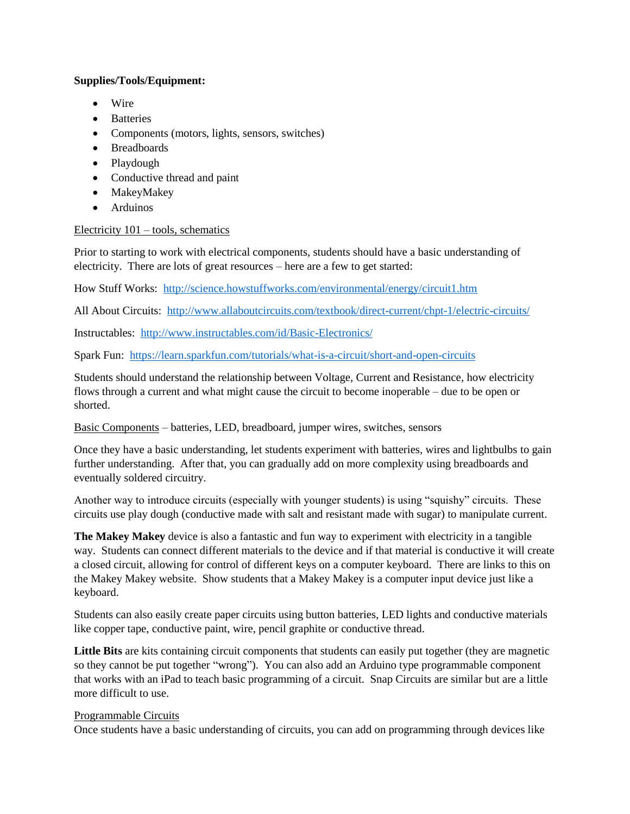### **Supplies/Tools/Equipment:**

- Wire
- Batteries
- Components (motors, lights, sensors, switches)
- Breadboards
- Playdough
- Conductive thread and paint
- MakeyMakey
- Arduinos

# Electricity 101 – tools, schematics

Prior to starting to work with electrical components, students should have a basic understanding of electricity. There are lots of great resources – here are a few to get started:

How Stuff Works: <http://science.howstuffworks.com/environmental/energy/circuit1.htm>

All About Circuits: <http://www.allaboutcircuits.com/textbook/direct-current/chpt-1/electric-circuits/>

Instructables: <http://www.instructables.com/id/Basic-Electronics/>

Spark Fun: <https://learn.sparkfun.com/tutorials/what-is-a-circuit/short-and-open-circuits>

Students should understand the relationship between Voltage, Current and Resistance, how electricity flows through a current and what might cause the circuit to become inoperable – due to be open or shorted.

Basic Components – batteries, LED, breadboard, jumper wires, switches, sensors

Once they have a basic understanding, let students experiment with batteries, wires and lightbulbs to gain further understanding. After that, you can gradually add on more complexity using breadboards and eventually soldered circuitry.

Another way to introduce circuits (especially with younger students) is using "squishy" circuits. These circuits use play dough (conductive made with salt and resistant made with sugar) to manipulate current.

**The Makey Makey** device is also a fantastic and fun way to experiment with electricity in a tangible way. Students can connect different materials to the device and if that material is conductive it will create a closed circuit, allowing for control of different keys on a computer keyboard. There are links to this on the Makey Makey website. Show students that a Makey Makey is a computer input device just like a keyboard.

Students can also easily create paper circuits using button batteries, LED lights and conductive materials like copper tape, conductive paint, wire, pencil graphite or conductive thread.

**Little Bits** are kits containing circuit components that students can easily put together (they are magnetic so they cannot be put together "wrong"). You can also add an Arduino type programmable component that works with an iPad to teach basic programming of a circuit. Snap Circuits are similar but are a little more difficult to use.

# Programmable Circuits

Once students have a basic understanding of circuits, you can add on programming through devices like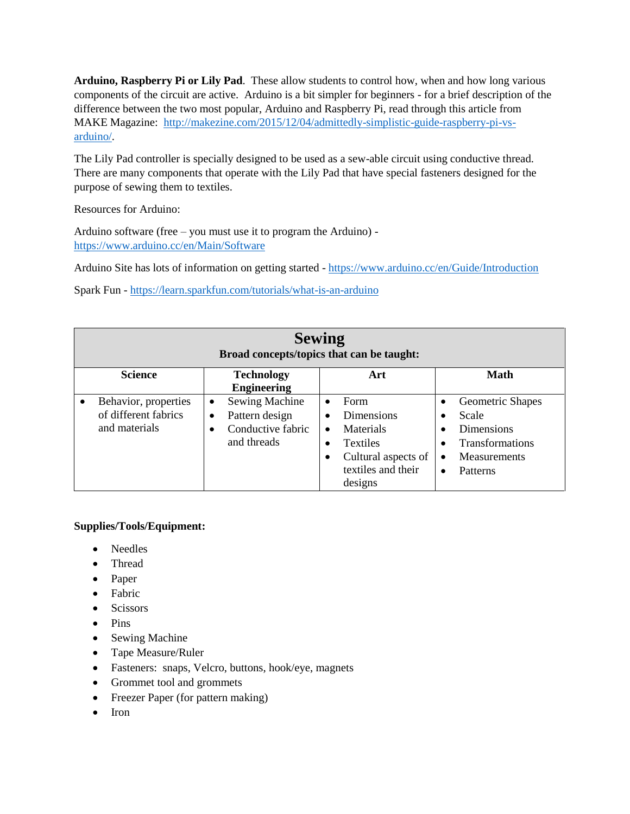**Arduino, Raspberry Pi or Lily Pad**. These allow students to control how, when and how long various components of the circuit are active. Arduino is a bit simpler for beginners - for a brief description of the difference between the two most popular, Arduino and Raspberry Pi, read through this article from MAKE Magazine: [http://makezine.com/2015/12/04/admittedly-simplistic-guide-raspberry-pi-vs](http://makezine.com/2015/12/04/admittedly-simplistic-guide-raspberry-pi-vs-arduino/)[arduino/.](http://makezine.com/2015/12/04/admittedly-simplistic-guide-raspberry-pi-vs-arduino/)

The Lily Pad controller is specially designed to be used as a sew-able circuit using conductive thread. There are many components that operate with the Lily Pad that have special fasteners designed for the purpose of sewing them to textiles.

Resources for Arduino:

Arduino software (free – you must use it to program the Arduino) <https://www.arduino.cc/en/Main/Software>

Arduino Site has lots of information on getting started - <https://www.arduino.cc/en/Guide/Introduction>

Spark Fun - <https://learn.sparkfun.com/tutorials/what-is-an-arduino>

| <b>Sewing</b><br>Broad concepts/topics that can be taught:                 |                                                                                                |                                                                                                                                           |                                                                                                                                |  |
|----------------------------------------------------------------------------|------------------------------------------------------------------------------------------------|-------------------------------------------------------------------------------------------------------------------------------------------|--------------------------------------------------------------------------------------------------------------------------------|--|
| <b>Science</b>                                                             | <b>Technology</b><br><b>Engineering</b>                                                        | Art                                                                                                                                       | Math                                                                                                                           |  |
| Behavior, properties<br>$\bullet$<br>of different fabrics<br>and materials | Sewing Machine<br>$\bullet$<br>Pattern design<br>$\bullet$<br>Conductive fabric<br>and threads | Form<br>$\bullet$<br>Dimensions<br>Materials<br>٠<br><b>Textiles</b><br>$\bullet$<br>Cultural aspects of<br>textiles and their<br>designs | Geometric Shapes<br>$\bullet$<br>Scale<br>Dimensions<br><b>Transformations</b><br><b>Measurements</b><br>Patterns<br>$\bullet$ |  |

# **Supplies/Tools/Equipment:**

- Needles
- Thread
- Paper
- Fabric
- Scissors
- Pins
- Sewing Machine
- Tape Measure/Ruler
- Fasteners: snaps, Velcro, buttons, hook/eye, magnets
- Grommet tool and grommets
- Freezer Paper (for pattern making)
- Iron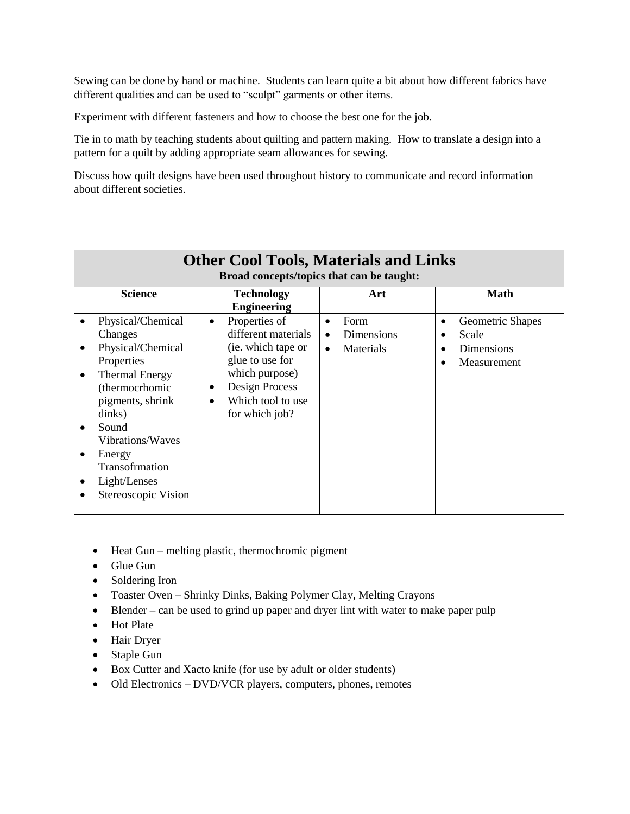Sewing can be done by hand or machine. Students can learn quite a bit about how different fabrics have different qualities and can be used to "sculpt" garments or other items.

Experiment with different fasteners and how to choose the best one for the job.

Tie in to math by teaching students about quilting and pattern making. How to translate a design into a pattern for a quilt by adding appropriate seam allowances for sewing.

Discuss how quilt designs have been used throughout history to communicate and record information about different societies.

| <b>Other Cool Tools, Materials and Links</b><br>Broad concepts/topics that can be taught:                                                                                                                                                |                                                                                                                                                                       |                                                                        |                                                                          |
|------------------------------------------------------------------------------------------------------------------------------------------------------------------------------------------------------------------------------------------|-----------------------------------------------------------------------------------------------------------------------------------------------------------------------|------------------------------------------------------------------------|--------------------------------------------------------------------------|
| <b>Science</b>                                                                                                                                                                                                                           | <b>Technology</b><br><b>Engineering</b>                                                                                                                               | Art                                                                    | <b>Math</b>                                                              |
| Physical/Chemical<br>Changes<br>Physical/Chemical<br>Properties<br><b>Thermal Energy</b><br>(thermocrhomic<br>pigments, shrink<br>dinks)<br>Sound<br>Vibrations/Waves<br>Energy<br>Transofrmation<br>Light/Lenses<br>Stereoscopic Vision | Properties of<br>$\bullet$<br>different materials<br>(ie. which tape or<br>glue to use for<br>which purpose)<br>Design Process<br>Which tool to use<br>for which job? | Form<br>$\bullet$<br>Dimensions<br>$\bullet$<br>Materials<br>$\bullet$ | Geometric Shapes<br>٠<br>Scale<br>Dimensions<br>Measurement<br>$\bullet$ |

- $\bullet$  Heat Gun melting plastic, thermochromic pigment
- Glue Gun
- Soldering Iron
- Toaster Oven Shrinky Dinks, Baking Polymer Clay, Melting Crayons
- Blender can be used to grind up paper and dryer lint with water to make paper pulp
- Hot Plate
- Hair Dryer
- Staple Gun
- Box Cutter and Xacto knife (for use by adult or older students)
- Old Electronics DVD/VCR players, computers, phones, remotes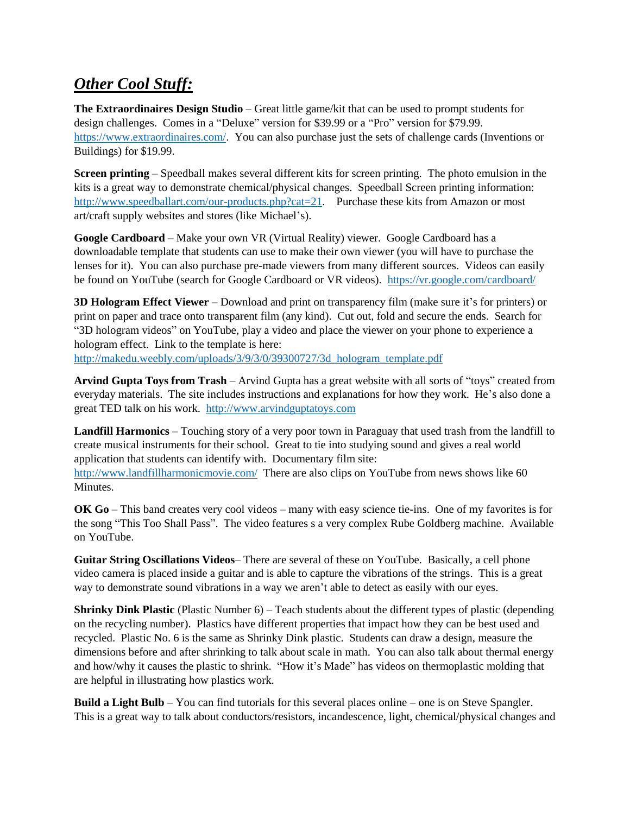# *Other Cool Stuff:*

**The Extraordinaires Design Studio** – Great little game/kit that can be used to prompt students for design challenges. Comes in a "Deluxe" version for \$39.99 or a "Pro" version for \$79.99. [https://www.extraordinaires.com/.](https://www.extraordinaires.com/) You can also purchase just the sets of challenge cards (Inventions or Buildings) for \$19.99.

**Screen printing** – Speedball makes several different kits for screen printing. The photo emulsion in the kits is a great way to demonstrate chemical/physical changes. Speedball Screen printing information: [http://www.speedballart.com/our-products.php?cat=21.](http://www.speedballart.com/our-products.php?cat=21) Purchase these kits from Amazon or most art/craft supply websites and stores (like Michael's).

**Google Cardboard** – Make your own VR (Virtual Reality) viewer. Google Cardboard has a downloadable template that students can use to make their own viewer (you will have to purchase the lenses for it). You can also purchase pre-made viewers from many different sources. Videos can easily be found on YouTube (search for Google Cardboard or VR videos). <https://vr.google.com/cardboard/>

**3D Hologram Effect Viewer** – Download and print on transparency film (make sure it's for printers) or print on paper and trace onto transparent film (any kind). Cut out, fold and secure the ends. Search for "3D hologram videos" on YouTube, play a video and place the viewer on your phone to experience a hologram effect. Link to the template is here:

[http://makedu.weebly.com/uploads/3/9/3/0/39300727/3d\\_hologram\\_template.pdf](http://makedu.weebly.com/uploads/3/9/3/0/39300727/3d_hologram_template.pdf)

**Arvind Gupta Toys from Trash** – Arvind Gupta has a great website with all sorts of "toys" created from everyday materials. The site includes instructions and explanations for how they work. He's also done a great TED talk on his work. [http://www.arvindguptatoys.com](http://www.arvindguptatoys.com/)

**Landfill Harmonics** – Touching story of a very poor town in Paraguay that used trash from the landfill to create musical instruments for their school. Great to tie into studying sound and gives a real world application that students can identify with. Documentary film site:

<http://www.landfillharmonicmovie.com/>There are also clips on YouTube from news shows like 60 Minutes.

**OK Go** – This band creates very cool videos – many with easy science tie-ins. One of my favorites is for the song "This Too Shall Pass". The video features s a very complex Rube Goldberg machine. Available on YouTube.

**Guitar String Oscillations Videos**– There are several of these on YouTube. Basically, a cell phone video camera is placed inside a guitar and is able to capture the vibrations of the strings. This is a great way to demonstrate sound vibrations in a way we aren't able to detect as easily with our eyes.

**Shrinky Dink Plastic** (Plastic Number 6) – Teach students about the different types of plastic (depending on the recycling number). Plastics have different properties that impact how they can be best used and recycled. Plastic No. 6 is the same as Shrinky Dink plastic. Students can draw a design, measure the dimensions before and after shrinking to talk about scale in math. You can also talk about thermal energy and how/why it causes the plastic to shrink. "How it's Made" has videos on thermoplastic molding that are helpful in illustrating how plastics work.

**Build a Light Bulb** – You can find tutorials for this several places online – one is on Steve Spangler. This is a great way to talk about conductors/resistors, incandescence, light, chemical/physical changes and